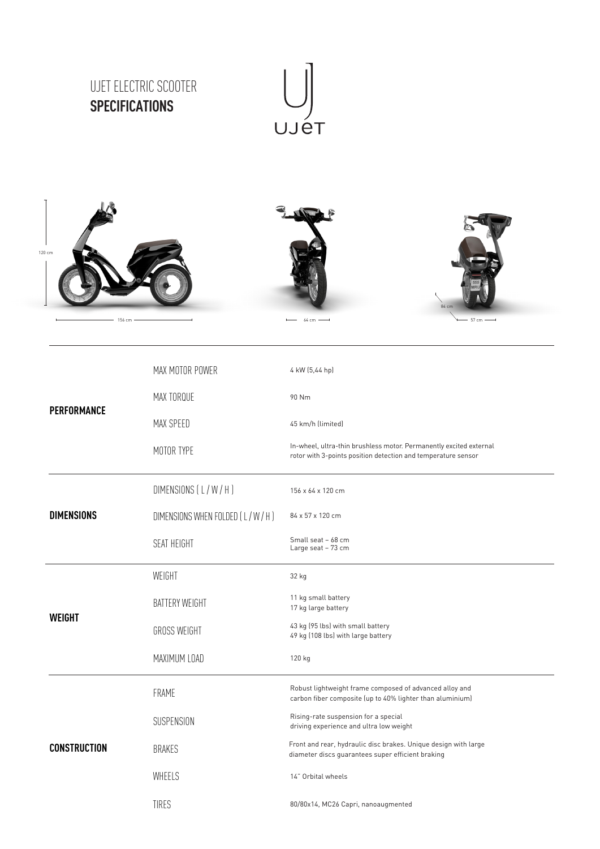









| PERFORMANCE         | MAX MOTOR POWER                | 4 kW (5,44 hp)                                                                                                                      |
|---------------------|--------------------------------|-------------------------------------------------------------------------------------------------------------------------------------|
|                     | MAX TORQUE                     | 90 Nm                                                                                                                               |
|                     | MAX SPEED                      | 45 km/h (limited)                                                                                                                   |
|                     | MOTOR TYPE                     | In-wheel, ultra-thin brushless motor. Permanently excited external<br>rotor with 3-points position detection and temperature sensor |
| <b>DIMENSIONS</b>   | DIMENSIONS (L/W/H)             | 156 x 64 x 120 cm                                                                                                                   |
|                     | DIMENSIONS WHEN FOLDED (L/W/H) | 84 x 57 x 120 cm                                                                                                                    |
|                     | SEAT HEIGHT                    | Small seat - 68 cm<br>Large seat - 73 cm                                                                                            |
| <b>WEIGHT</b>       | WEIGHT                         | 32 kg                                                                                                                               |
|                     | <b>BATTERY WEIGHT</b>          | 11 kg small battery<br>17 kg large battery                                                                                          |
|                     | <b>GROSS WEIGHT</b>            | 43 kg (95 lbs) with small battery<br>49 kg (108 lbs) with large battery                                                             |
|                     | MAXIMUM LOAD                   | 120 kg                                                                                                                              |
| <b>CONSTRUCTION</b> | FRAME                          | Robust lightweight frame composed of advanced alloy and<br>carbon fiber composite (up to 40% lighter than aluminium)                |
|                     | SUSPENSION                     | Rising-rate suspension for a special<br>driving experience and ultra low weight                                                     |
|                     | <b>BRAKES</b>                  | Front and rear, hydraulic disc brakes. Unique design with large<br>diameter discs guarantees super efficient braking                |
|                     | WHEELS                         | 14" Orbital wheels                                                                                                                  |
|                     | TIRES                          | 80/80x14, MC26 Capri, nanoaugmented                                                                                                 |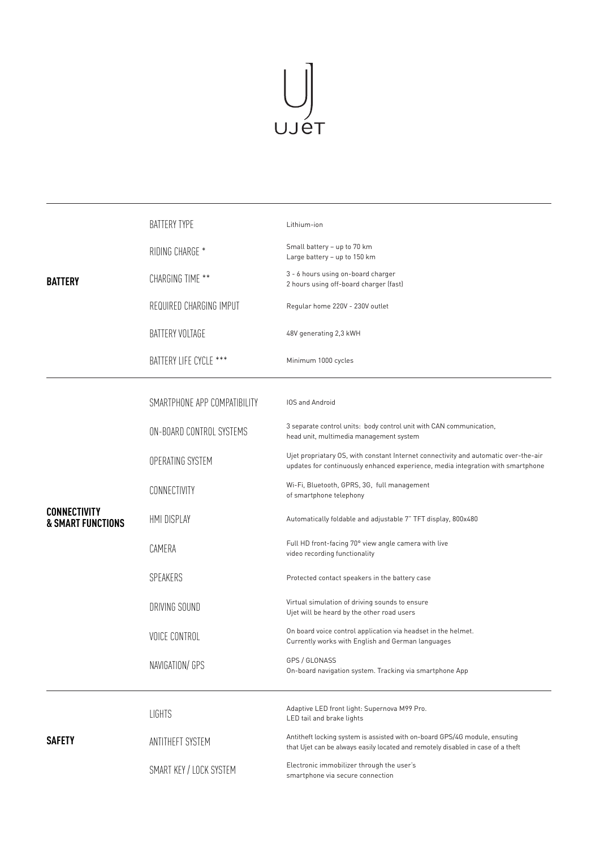

| <b>BATTERY</b>                                      | <b>BATTERY TYPE</b>          | Lithium-ion                                                                                                                                                            |
|-----------------------------------------------------|------------------------------|------------------------------------------------------------------------------------------------------------------------------------------------------------------------|
|                                                     | RIDING CHARGE *              | Small battery - up to 70 km<br>Large battery - up to 150 km                                                                                                            |
|                                                     | CHARGING TIME **             | 3 - 6 hours using on-board charger<br>2 hours using off-board charger (fast)                                                                                           |
|                                                     | REQUIRED CHARGING IMPUT      | Regular home 220V - 230V outlet                                                                                                                                        |
|                                                     | BATTERY VOLTAGE              | 48V generating 2,3 kWH                                                                                                                                                 |
|                                                     | BATTERY LIFE CYCLE ***       | Minimum 1000 cycles                                                                                                                                                    |
| <b>CONNECTIVITY</b><br><b>&amp; SMART FUNCTIONS</b> | SMARTPHONE APP COMPATIBILITY | <b>IOS and Android</b>                                                                                                                                                 |
|                                                     | ON-BOARD CONTROL SYSTEMS     | 3 separate control units: body control unit with CAN communication,<br>head unit, multimedia management system                                                         |
|                                                     | OPERATING SYSTEM             | Ujet propriatary OS, with constant Internet connectivity and automatic over-the-air<br>updates for continuously enhanced experience, media integration with smartphone |
|                                                     | CONNECTIVITY                 | Wi-Fi, Bluetooth, GPRS, 3G, full management<br>of smartphone telephony                                                                                                 |
|                                                     | HMI DISPLAY                  | Automatically foldable and adjustable 7" TFT display, 800x480                                                                                                          |
|                                                     | CAMERA                       | Full HD front-facing 70° view angle camera with live<br>video recording functionality                                                                                  |
|                                                     | SPEAKERS                     | Protected contact speakers in the battery case                                                                                                                         |
|                                                     | DRIVING SOUND                | Virtual simulation of driving sounds to ensure<br>Ujet will be heard by the other road users                                                                           |
|                                                     | <b>VOICE CONTROL</b>         | On board voice control application via headset in the helmet.<br>Currently works with English and German languages                                                     |
|                                                     | NAVIGATION/ GPS              | GPS / GLONASS<br>On-board navigation system. Tracking via smartphone App                                                                                               |
| <b>SAFETY</b>                                       | <b>LIGHTS</b>                | Adaptive LED front light: Supernova M99 Pro.<br>LED tail and brake lights                                                                                              |
|                                                     | ANTITHEFT SYSTEM             | Antitheft locking system is assisted with on-board GPS/4G module, ensuting<br>that Ujet can be always easily located and remotely disabled in case of a theft          |
|                                                     | SMART KEY / LOCK SYSTEM      | Electronic immobilizer through the user's<br>smartphone via secure connection                                                                                          |